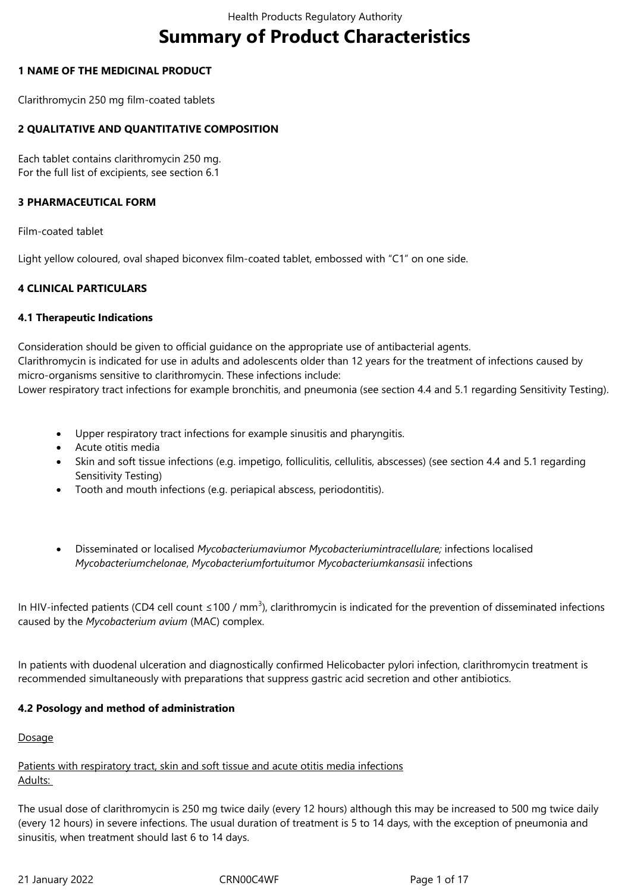# **Summary of Product Characteristics**

### **1 NAME OF THE MEDICINAL PRODUCT**

Clarithromycin 250 mg film-coated tablets

### **2 QUALITATIVE AND QUANTITATIVE COMPOSITION**

Each tablet contains clarithromycin 250 mg. For the full list of excipients, see section 6.1

#### **3 PHARMACEUTICAL FORM**

Film-coated tablet

Light yellow coloured, oval shaped biconvex film-coated tablet, embossed with "C1" on one side.

### **4 CLINICAL PARTICULARS**

#### **4.1 Therapeutic Indications**

Consideration should be given to official guidance on the appropriate use of antibacterial agents. Clarithromycin is indicated for use in adults and adolescents older than 12 years for the treatment of infections caused by micro-organisms sensitive to clarithromycin. These infections include:

Lower respiratory tract infections for example bronchitis, and pneumonia (see section 4.4 and 5.1 regarding Sensitivity Testing).

- Upper respiratory tract infections for example sinusitis and pharyngitis.
- Acute otitis media
- Skin and soft tissue infections (e.g. impetigo, folliculitis, cellulitis, abscesses) (see section 4.4 and 5.1 regarding Sensitivity Testing)
- Tooth and mouth infections (e.g. periapical abscess, periodontitis).
- Disseminated or localised *Mycobacteriumavium*or *Mycobacteriumintracellulare;* infections localised *Mycobacteriumchelonae*, *Mycobacteriumfortuitum*or *Mycobacteriumkansasii* infections

In HIV-infected patients (CD4 cell count  $\leq 100$  / mm<sup>3</sup>), clarithromycin is indicated for the prevention of disseminated infections caused by the *Mycobacterium avium* (MAC) complex.

In patients with duodenal ulceration and diagnostically confirmed Helicobacter pylori infection, clarithromycin treatment is recommended simultaneously with preparations that suppress gastric acid secretion and other antibiotics.

#### **4.2 Posology and method of administration**

Dosage

Patients with respiratory tract, skin and soft tissue and acute otitis media infections Adults:

The usual dose of clarithromycin is 250 mg twice daily (every 12 hours) although this may be increased to 500 mg twice daily (every 12 hours) in severe infections. The usual duration of treatment is 5 to 14 days, with the exception of pneumonia and sinusitis, when treatment should last 6 to 14 days.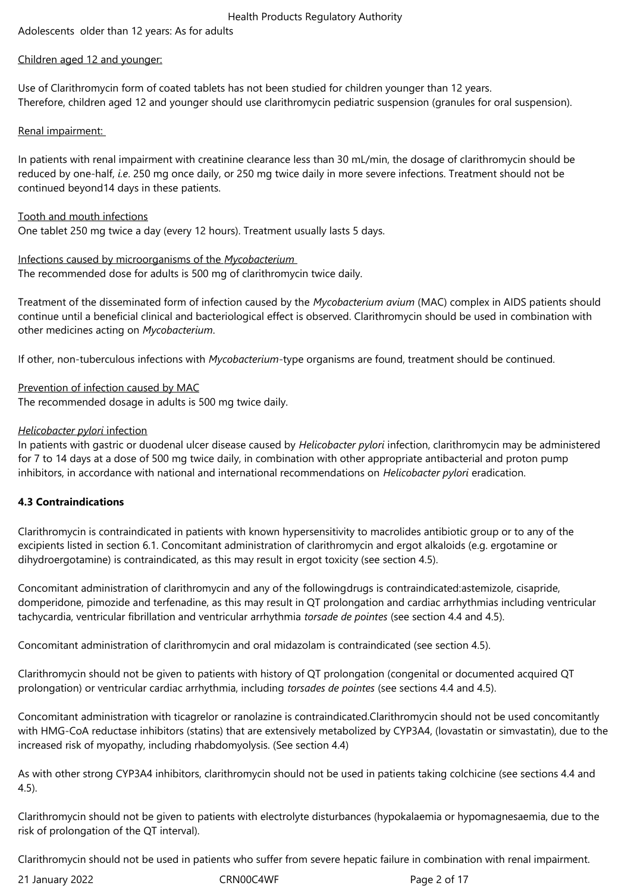Adolescents older than 12 years: As for adults

### Children aged 12 and younger:

Use of Clarithromycin form of coated tablets has not been studied for children younger than 12 years. Therefore, children aged 12 and younger should use clarithromycin pediatric suspension (granules for oral suspension).

### Renal impairment:

In patients with renal impairment with creatinine clearance less than 30 mL/min, the dosage of clarithromycin should be reduced by one-half, *i.e*. 250 mg once daily, or 250 mg twice daily in more severe infections. Treatment should not be continued beyond14 days in these patients.

### Tooth and mouth infections

One tablet 250 mg twice a day (every 12 hours). Treatment usually lasts 5 days.

Infections caused by microorganisms of the *Mycobacterium*  The recommended dose for adults is 500 mg of clarithromycin twice daily.

Treatment of the disseminated form of infection caused by the *Mycobacterium avium* (MAC) complex in AIDS patients should continue until a beneficial clinical and bacteriological effect is observed. Clarithromycin should be used in combination with other medicines acting on *Mycobacterium*.

If other, non-tuberculous infections with *Mycobacterium*-type organisms are found, treatment should be continued.

Prevention of infection caused by MAC The recommended dosage in adults is 500 mg twice daily.

### *Helicobacter pylori* infection

In patients with gastric or duodenal ulcer disease caused by *Helicobacter pylori* infection, clarithromycin may be administered for 7 to 14 days at a dose of 500 mg twice daily, in combination with other appropriate antibacterial and proton pump inhibitors, in accordance with national and international recommendations on *Helicobacter pylori* eradication.

### **4.3 Contraindications**

Clarithromycin is contraindicated in patients with known hypersensitivity to macrolides antibiotic group or to any of the excipients listed in section 6.1. Concomitant administration of clarithromycin and ergot alkaloids (e.g. ergotamine or dihydroergotamine) is contraindicated, as this may result in ergot toxicity (see section 4.5).

Concomitant administration of clarithromycin and any of the followingdrugs is contraindicated:astemizole, cisapride, domperidone, pimozide and terfenadine, as this may result in QT prolongation and cardiac arrhythmias including ventricular tachycardia, ventricular fibrillation and ventricular arrhythmia *torsade de pointes* (see section 4.4 and 4.5).

Concomitant administration of clarithromycin and oral midazolam is contraindicated (see section 4.5).

Clarithromycin should not be given to patients with history of QT prolongation (congenital or documented acquired QT prolongation) or ventricular cardiac arrhythmia, including *torsades de pointes* (see sections 4.4 and 4.5).

Concomitant administration with ticagrelor or ranolazine is contraindicated.Clarithromycin should not be used concomitantly with HMG-CoA reductase inhibitors (statins) that are extensively metabolized by CYP3A4, (lovastatin or simvastatin), due to the increased risk of myopathy, including rhabdomyolysis. (See section 4.4)

As with other strong CYP3A4 inhibitors, clarithromycin should not be used in patients taking colchicine (see sections 4.4 and 4.5).

Clarithromycin should not be given to patients with electrolyte disturbances (hypokalaemia or hypomagnesaemia, due to the risk of prolongation of the QT interval).

Clarithromycin should not be used in patients who suffer from severe hepatic failure in combination with renal impairment.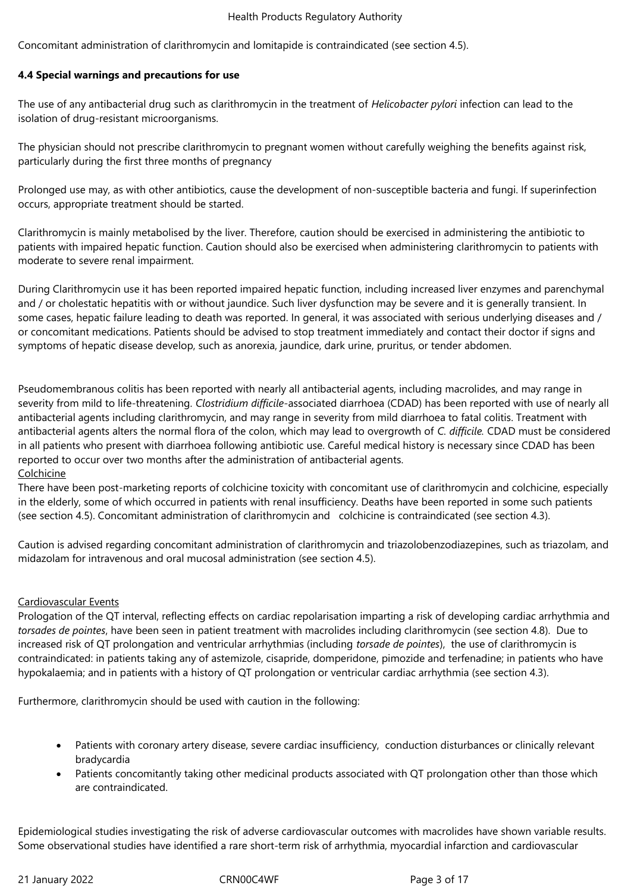Concomitant administration of clarithromycin and lomitapide is contraindicated (see section 4.5).

### **4.4 Special warnings and precautions for use**

The use of any antibacterial drug such as clarithromycin in the treatment of *Helicobacter pylori* infection can lead to the isolation of drug-resistant microorganisms.

The physician should not prescribe clarithromycin to pregnant women without carefully weighing the benefits against risk, particularly during the first three months of pregnancy

Prolonged use may, as with other antibiotics, cause the development of non-susceptible bacteria and fungi. If superinfection occurs, appropriate treatment should be started.

Clarithromycin is mainly metabolised by the liver. Therefore, caution should be exercised in administering the antibiotic to patients with impaired hepatic function. Caution should also be exercised when administering clarithromycin to patients with moderate to severe renal impairment.

During Clarithromycin use it has been reported impaired hepatic function, including increased liver enzymes and parenchymal and / or cholestatic hepatitis with or without jaundice. Such liver dysfunction may be severe and it is generally transient. In some cases, hepatic failure leading to death was reported. In general, it was associated with serious underlying diseases and / or concomitant medications. Patients should be advised to stop treatment immediately and contact their doctor if signs and symptoms of hepatic disease develop, such as anorexia, jaundice, dark urine, pruritus, or tender abdomen.

Pseudomembranous colitis has been reported with nearly all antibacterial agents, including macrolides, and may range in severity from mild to life-threatening. *Clostridium difficile-*associated diarrhoea (CDAD) has been reported with use of nearly all antibacterial agents including clarithromycin, and may range in severity from mild diarrhoea to fatal colitis. Treatment with antibacterial agents alters the normal flora of the colon, which may lead to overgrowth of *C. difficile.* CDAD must be considered in all patients who present with diarrhoea following antibiotic use. Careful medical history is necessary since CDAD has been reported to occur over two months after the administration of antibacterial agents. Colchicine

There have been post-marketing reports of colchicine toxicity with concomitant use of clarithromycin and colchicine, especially in the elderly, some of which occurred in patients with renal insufficiency. Deaths have been reported in some such patients (see section 4.5). Concomitant administration of clarithromycin and colchicine is contraindicated (see section 4.3).

Caution is advised regarding concomitant administration of clarithromycin and triazolobenzodiazepines, such as triazolam, and midazolam for intravenous and oral mucosal administration (see section 4.5).

#### Cardiovascular Events

Prologation of the QT interval, reflecting effects on cardiac repolarisation imparting a risk of developing cardiac arrhythmia and *torsades de pointes*, have been seen in patient treatment with macrolides including clarithromycin (see section 4.8). Due to increased risk of QT prolongation and ventricular arrhythmias (including *torsade de pointes*), the use of clarithromycin is contraindicated: in patients taking any of astemizole, cisapride, domperidone, pimozide and terfenadine; in patients who have hypokalaemia; and in patients with a history of QT prolongation or ventricular cardiac arrhythmia (see section 4.3).

Furthermore, clarithromycin should be used with caution in the following:

- Patients with coronary artery disease, severe cardiac insufficiency, conduction disturbances or clinically relevant bradycardia
- Patients concomitantly taking other medicinal products associated with QT prolongation other than those which are contraindicated.

Epidemiological studies investigating the risk of adverse cardiovascular outcomes with macrolides have shown variable results. Some observational studies have identified a rare short-term risk of arrhythmia, myocardial infarction and cardiovascular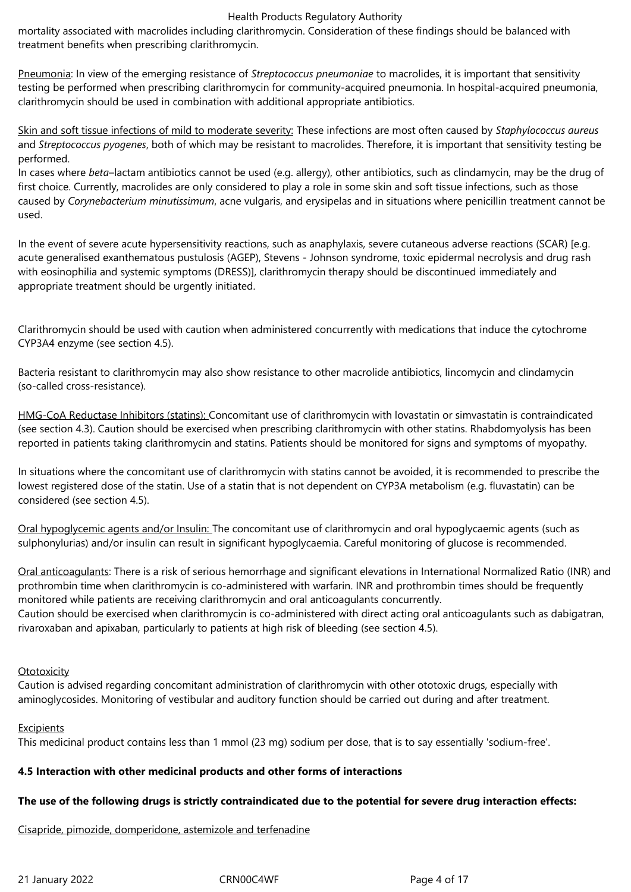mortality associated with macrolides including clarithromycin. Consideration of these findings should be balanced with treatment benefits when prescribing clarithromycin.

Pneumonia: In view of the emerging resistance of *Streptococcus pneumoniae* to macrolides, it is important that sensitivity testing be performed when prescribing clarithromycin for community-acquired pneumonia. In hospital-acquired pneumonia, clarithromycin should be used in combination with additional appropriate antibiotics.

Skin and soft tissue infections of mild to moderate severity: These infections are most often caused by *Staphylococcus aureus*  and *Streptococcus pyogenes*, both of which may be resistant to macrolides. Therefore, it is important that sensitivity testing be performed.

In cases where *beta*–lactam antibiotics cannot be used (e.g. allergy), other antibiotics, such as clindamycin, may be the drug of first choice. Currently, macrolides are only considered to play a role in some skin and soft tissue infections, such as those caused by *Corynebacterium minutissimum*, acne vulgaris, and erysipelas and in situations where penicillin treatment cannot be used.

In the event of severe acute hypersensitivity reactions, such as anaphylaxis, severe cutaneous adverse reactions (SCAR) [e.g. acute generalised exanthematous pustulosis (AGEP), Stevens - Johnson syndrome, toxic epidermal necrolysis and drug rash with eosinophilia and systemic symptoms (DRESS)], clarithromycin therapy should be discontinued immediately and appropriate treatment should be urgently initiated.

Clarithromycin should be used with caution when administered concurrently with medications that induce the cytochrome CYP3A4 enzyme (see section 4.5).

Bacteria resistant to clarithromycin may also show resistance to other macrolide antibiotics, lincomycin and clindamycin (so-called cross-resistance).

HMG-CoA Reductase Inhibitors (statins): Concomitant use of clarithromycin with lovastatin or simvastatin is contraindicated (see section 4.3). Caution should be exercised when prescribing clarithromycin with other statins. Rhabdomyolysis has been reported in patients taking clarithromycin and statins. Patients should be monitored for signs and symptoms of myopathy.

In situations where the concomitant use of clarithromycin with statins cannot be avoided, it is recommended to prescribe the lowest registered dose of the statin. Use of a statin that is not dependent on CYP3A metabolism (e.g. fluvastatin) can be considered (see section 4.5).

Oral hypoglycemic agents and/or Insulin: The concomitant use of clarithromycin and oral hypoglycaemic agents (such as sulphonylurias) and/or insulin can result in significant hypoglycaemia. Careful monitoring of glucose is recommended.

Oral anticoagulants: There is a risk of serious hemorrhage and significant elevations in International Normalized Ratio (INR) and prothrombin time when clarithromycin is co-administered with warfarin. INR and prothrombin times should be frequently monitored while patients are receiving clarithromycin and oral anticoagulants concurrently.

Caution should be exercised when clarithromycin is co-administered with direct acting oral anticoagulants such as dabigatran, rivaroxaban and apixaban, particularly to patients at high risk of bleeding (see section 4.5).

#### **Ototoxicity**

Caution is advised regarding concomitant administration of clarithromycin with other ototoxic drugs, especially with aminoglycosides. Monitoring of vestibular and auditory function should be carried out during and after treatment.

#### Excipients

This medicinal product contains less than 1 mmol (23 mg) sodium per dose, that is to say essentially 'sodium-free'.

### **4.5 Interaction with other medicinal products and other forms of interactions**

#### **The use of the following drugs is strictly contraindicated due to the potential for severe drug interaction effects:**

Cisapride, pimozide, domperidone, astemizole and terfenadine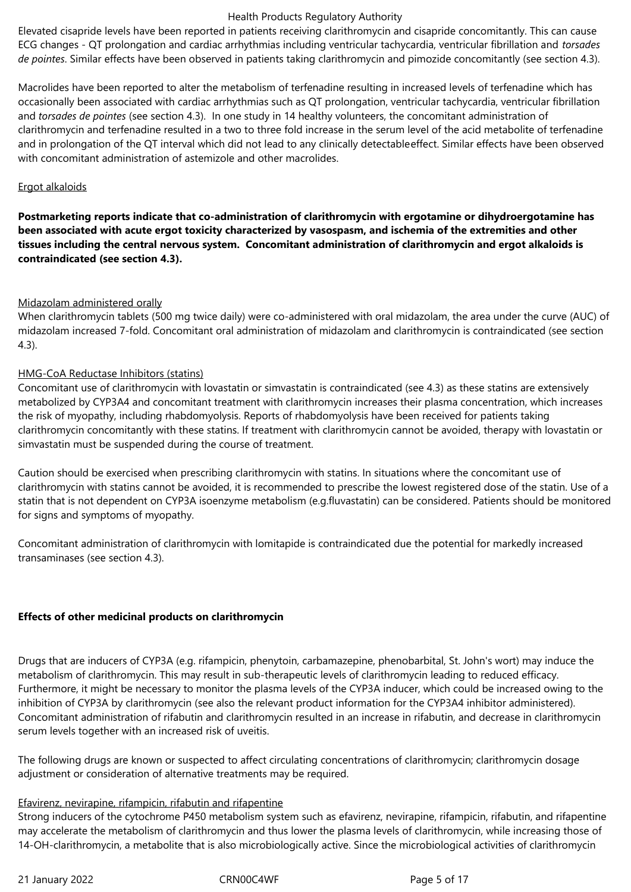Elevated cisapride levels have been reported in patients receiving clarithromycin and cisapride concomitantly. This can cause ECG changes - QT prolongation and cardiac arrhythmias including ventricular tachycardia, ventricular fibrillation and *torsades de pointes*. Similar effects have been observed in patients taking clarithromycin and pimozide concomitantly (see section 4.3).

Macrolides have been reported to alter the metabolism of terfenadine resulting in increased levels of terfenadine which has occasionally been associated with cardiac arrhythmias such as QT prolongation, ventricular tachycardia, ventricular fibrillation and *torsades de pointes* (see section 4.3). In one study in 14 healthy volunteers, the concomitant administration of clarithromycin and terfenadine resulted in a two to three fold increase in the serum level of the acid metabolite of terfenadine and in prolongation of the QT interval which did not lead to any clinically detectableeffect. Similar effects have been observed with concomitant administration of astemizole and other macrolides.

#### Ergot alkaloids

**Postmarketing reports indicate that co-administration of clarithromycin with ergotamine or dihydroergotamine has been associated with acute ergot toxicity characterized by vasospasm, and ischemia of the extremities and other tissues including the central nervous system. Concomitant administration of clarithromycin and ergot alkaloids is contraindicated (see section 4.3).**

### Midazolam administered orally

When clarithromycin tablets (500 mg twice daily) were co-administered with oral midazolam, the area under the curve (AUC) of midazolam increased 7-fold. Concomitant oral administration of midazolam and clarithromycin is contraindicated (see section 4.3).

### HMG-CoA Reductase Inhibitors (statins)

Concomitant use of clarithromycin with lovastatin or simvastatin is contraindicated (see 4.3) as these statins are extensively metabolized by CYP3A4 and concomitant treatment with clarithromycin increases their plasma concentration, which increases the risk of myopathy, including rhabdomyolysis. Reports of rhabdomyolysis have been received for patients taking clarithromycin concomitantly with these statins. If treatment with clarithromycin cannot be avoided, therapy with lovastatin or simvastatin must be suspended during the course of treatment.

Caution should be exercised when prescribing clarithromycin with statins. In situations where the concomitant use of clarithromycin with statins cannot be avoided, it is recommended to prescribe the lowest registered dose of the statin. Use of a statin that is not dependent on CYP3A isoenzyme metabolism (e.g.fluvastatin) can be considered. Patients should be monitored for signs and symptoms of myopathy.

Concomitant administration of clarithromycin with lomitapide is contraindicated due the potential for markedly increased transaminases (see section 4.3).

### **Effects of other medicinal products on clarithromycin**

Drugs that are inducers of CYP3A (e.g. rifampicin, phenytoin, carbamazepine, phenobarbital, St. John's wort) may induce the metabolism of clarithromycin. This may result in sub-therapeutic levels of clarithromycin leading to reduced efficacy. Furthermore, it might be necessary to monitor the plasma levels of the CYP3A inducer, which could be increased owing to the inhibition of CYP3A by clarithromycin (see also the relevant product information for the CYP3A4 inhibitor administered). Concomitant administration of rifabutin and clarithromycin resulted in an increase in rifabutin, and decrease in clarithromycin serum levels together with an increased risk of uveitis.

The following drugs are known or suspected to affect circulating concentrations of clarithromycin; clarithromycin dosage adjustment or consideration of alternative treatments may be required.

### Efavirenz, nevirapine, rifampicin, rifabutin and rifapentine

Strong inducers of the cytochrome P450 metabolism system such as efavirenz, nevirapine, rifampicin, rifabutin, and rifapentine may accelerate the metabolism of clarithromycin and thus lower the plasma levels of clarithromycin, while increasing those of 14-OH-clarithromycin, a metabolite that is also microbiologically active. Since the microbiological activities of clarithromycin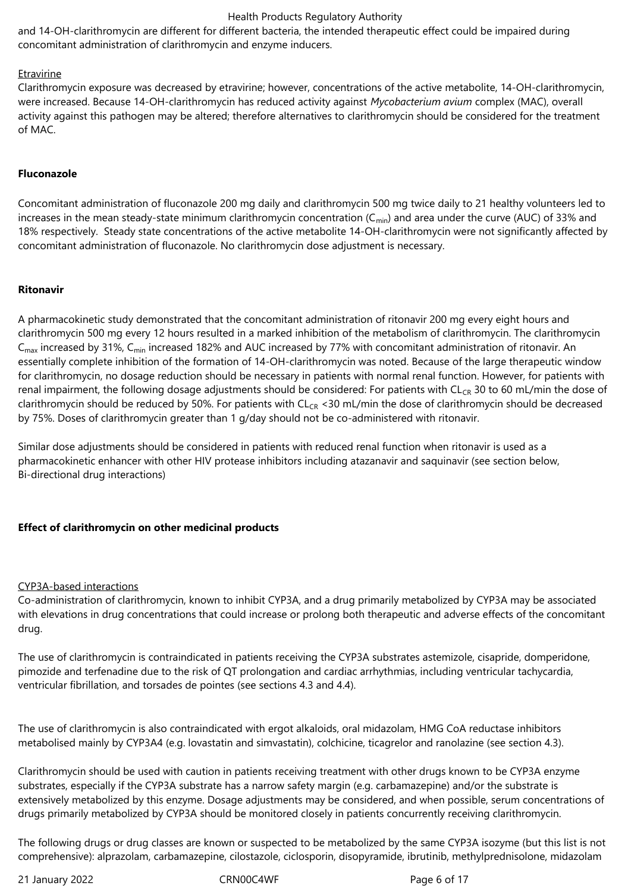and 14-OH-clarithromycin are different for different bacteria, the intended therapeutic effect could be impaired during concomitant administration of clarithromycin and enzyme inducers.

#### **Etravirine**

Clarithromycin exposure was decreased by etravirine; however, concentrations of the active metabolite, 14-OH-clarithromycin, were increased. Because 14-OH-clarithromycin has reduced activity against *Mycobacterium avium* complex (MAC), overall activity against this pathogen may be altered; therefore alternatives to clarithromycin should be considered for the treatment of MAC.

#### **Fluconazole**

Concomitant administration of fluconazole 200 mg daily and clarithromycin 500 mg twice daily to 21 healthy volunteers led to increases in the mean steady-state minimum clarithromycin concentration  $(C_{min})$  and area under the curve (AUC) of 33% and 18% respectively. Steady state concentrations of the active metabolite 14-OH-clarithromycin were not significantly affected by concomitant administration of fluconazole. No clarithromycin dose adjustment is necessary.

#### **Ritonavir**

A pharmacokinetic study demonstrated that the concomitant administration of ritonavir 200 mg every eight hours and clarithromycin 500 mg every 12 hours resulted in a marked inhibition of the metabolism of clarithromycin. The clarithromycin  $C<sub>max</sub>$  increased by 31%,  $C<sub>min</sub>$  increased 182% and AUC increased by 77% with concomitant administration of ritonavir. An essentially complete inhibition of the formation of 14-OH-clarithromycin was noted. Because of the large therapeutic window for clarithromycin, no dosage reduction should be necessary in patients with normal renal function. However, for patients with renal impairment, the following dosage adjustments should be considered: For patients with  $CL_{CR}$  30 to 60 mL/min the dose of clarithromycin should be reduced by 50%. For patients with  $CL_{CR}$  <30 mL/min the dose of clarithromycin should be decreased by 75%. Doses of clarithromycin greater than 1 g/day should not be co-administered with ritonavir.

Similar dose adjustments should be considered in patients with reduced renal function when ritonavir is used as a pharmacokinetic enhancer with other HIV protease inhibitors including atazanavir and saquinavir (see section below, Bi-directional drug interactions)

### **Effect of clarithromycin on other medicinal products**

#### CYP3A-based interactions

Co-administration of clarithromycin, known to inhibit CYP3A, and a drug primarily metabolized by CYP3A may be associated with elevations in drug concentrations that could increase or prolong both therapeutic and adverse effects of the concomitant drug.

The use of clarithromycin is contraindicated in patients receiving the CYP3A substrates astemizole, cisapride, domperidone, pimozide and terfenadine due to the risk of QT prolongation and cardiac arrhythmias, including ventricular tachycardia, ventricular fibrillation, and torsades de pointes (see sections 4.3 and 4.4).

The use of clarithromycin is also contraindicated with ergot alkaloids, oral midazolam, HMG CoA reductase inhibitors metabolised mainly by CYP3A4 (e.g. lovastatin and simvastatin), colchicine, ticagrelor and ranolazine (see section 4.3).

Clarithromycin should be used with caution in patients receiving treatment with other drugs known to be CYP3A enzyme substrates, especially if the CYP3A substrate has a narrow safety margin (e.g. carbamazepine) and/or the substrate is extensively metabolized by this enzyme. Dosage adjustments may be considered, and when possible, serum concentrations of drugs primarily metabolized by CYP3A should be monitored closely in patients concurrently receiving clarithromycin.

The following drugs or drug classes are known or suspected to be metabolized by the same CYP3A isozyme (but this list is not comprehensive): alprazolam, carbamazepine, cilostazole, ciclosporin, disopyramide, ibrutinib, methylprednisolone, midazolam

21 January 2022 **CRN00C4WF** Page 6 of 17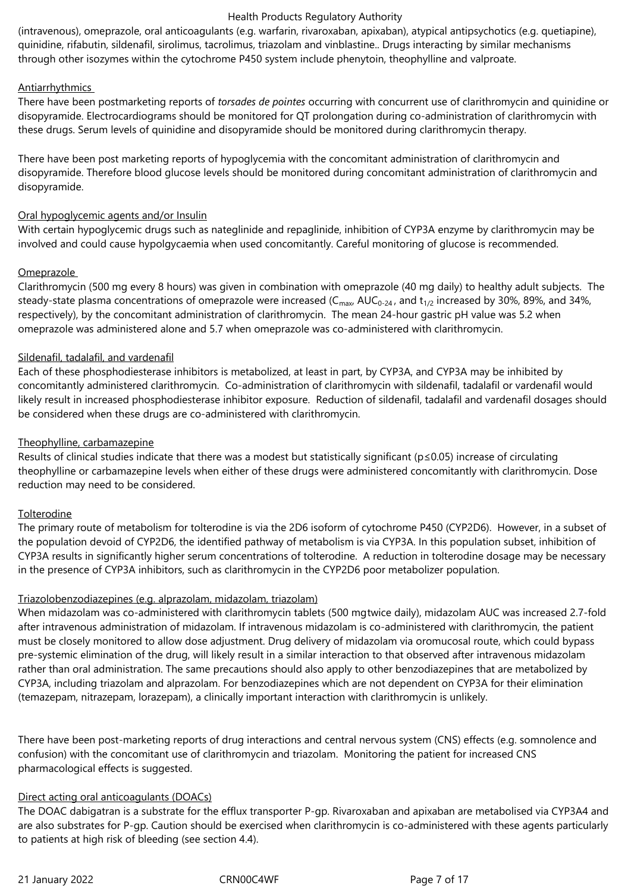(intravenous), omeprazole, oral anticoagulants (e.g. warfarin, rivaroxaban, apixaban), atypical antipsychotics (e.g. quetiapine), quinidine, rifabutin, sildenafil, sirolimus, tacrolimus, triazolam and vinblastine.. Drugs interacting by similar mechanisms through other isozymes within the cytochrome P450 system include phenytoin, theophylline and valproate.

### Antiarrhythmics

There have been postmarketing reports of *torsades de pointes* occurring with concurrent use of clarithromycin and quinidine or disopyramide. Electrocardiograms should be monitored for QT prolongation during co-administration of clarithromycin with these drugs. Serum levels of quinidine and disopyramide should be monitored during clarithromycin therapy.

There have been post marketing reports of hypoglycemia with the concomitant administration of clarithromycin and disopyramide. Therefore blood glucose levels should be monitored during concomitant administration of clarithromycin and disopyramide.

#### Oral hypoglycemic agents and/or Insulin

With certain hypoglycemic drugs such as nateglinide and repaglinide, inhibition of CYP3A enzyme by clarithromycin may be involved and could cause hypolgycaemia when used concomitantly. Careful monitoring of glucose is recommended.

### Omeprazole

Clarithromycin (500 mg every 8 hours) was given in combination with omeprazole (40 mg daily) to healthy adult subjects. The steady-state plasma concentrations of omeprazole were increased ( $C_{\text{max}}$ , AUC<sub>0</sub>-24, and  $t_{1/2}$  increased by 30%, 89%, and 34%, respectively), by the concomitant administration of clarithromycin. The mean 24-hour gastric pH value was 5.2 when omeprazole was administered alone and 5.7 when omeprazole was co-administered with clarithromycin.

### Sildenafil, tadalafil, and vardenafil

Each of these phosphodiesterase inhibitors is metabolized, at least in part, by CYP3A, and CYP3A may be inhibited by concomitantly administered clarithromycin. Co-administration of clarithromycin with sildenafil, tadalafil or vardenafil would likely result in increased phosphodiesterase inhibitor exposure. Reduction of sildenafil, tadalafil and vardenafil dosages should be considered when these drugs are co-administered with clarithromycin.

### Theophylline, carbamazepine

Results of clinical studies indicate that there was a modest but statistically significant (p≤0.05) increase of circulating theophylline or carbamazepine levels when either of these drugs were administered concomitantly with clarithromycin. Dose reduction may need to be considered.

#### **Tolterodine**

The primary route of metabolism for tolterodine is via the 2D6 isoform of cytochrome P450 (CYP2D6). However, in a subset of the population devoid of CYP2D6, the identified pathway of metabolism is via CYP3A. In this population subset, inhibition of CYP3A results in significantly higher serum concentrations of tolterodine. A reduction in tolterodine dosage may be necessary in the presence of CYP3A inhibitors, such as clarithromycin in the CYP2D6 poor metabolizer population.

#### Triazolobenzodiazepines (e.g. alprazolam, midazolam, triazolam)

When midazolam was co-administered with clarithromycin tablets (500 mgtwice daily), midazolam AUC was increased 2.7-fold after intravenous administration of midazolam. If intravenous midazolam is co-administered with clarithromycin, the patient must be closely monitored to allow dose adjustment. Drug delivery of midazolam via oromucosal route, which could bypass pre-systemic elimination of the drug, will likely result in a similar interaction to that observed after intravenous midazolam rather than oral administration. The same precautions should also apply to other benzodiazepines that are metabolized by CYP3A, including triazolam and alprazolam. For benzodiazepines which are not dependent on CYP3A for their elimination (temazepam, nitrazepam, lorazepam), a clinically important interaction with clarithromycin is unlikely.

There have been post-marketing reports of drug interactions and central nervous system (CNS) effects (e.g. somnolence and confusion) with the concomitant use of clarithromycin and triazolam. Monitoring the patient for increased CNS pharmacological effects is suggested.

#### Direct acting oral anticoagulants (DOACs)

The DOAC dabigatran is a substrate for the efflux transporter P-gp. Rivaroxaban and apixaban are metabolised via CYP3A4 and are also substrates for P-gp. Caution should be exercised when clarithromycin is co-administered with these agents particularly to patients at high risk of bleeding (see section 4.4).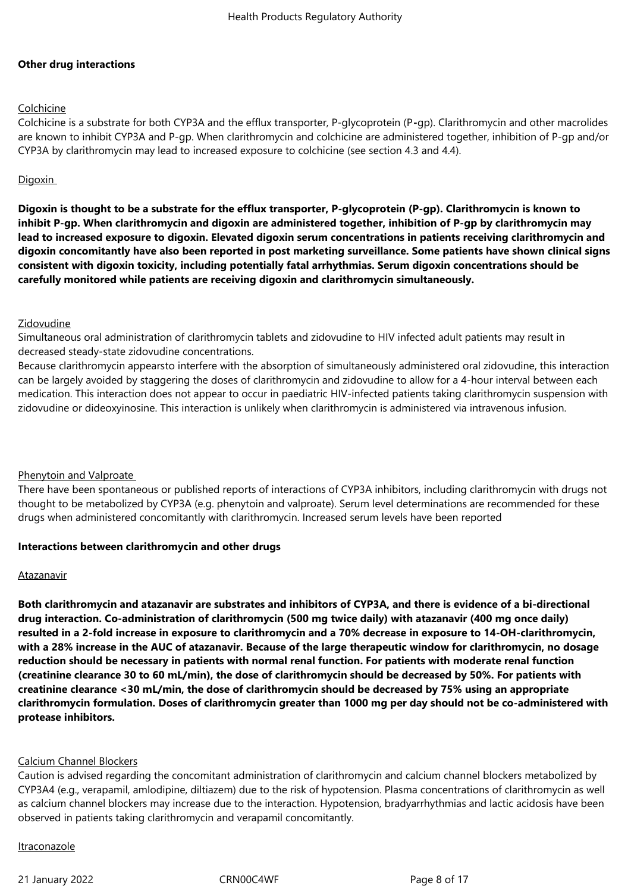### **Other drug interactions**

### Colchicine

Colchicine is a substrate for both CYP3A and the efflux transporter, P-glycoprotein (P**-**gp). Clarithromycin and other macrolides are known to inhibit CYP3A and P-gp. When clarithromycin and colchicine are administered together, inhibition of P-gp and/or CYP3A by clarithromycin may lead to increased exposure to colchicine (see section 4.3 and 4.4).

### **Digoxin**

**Digoxin is thought to be a substrate for the efflux transporter, P-glycoprotein (P-gp). Clarithromycin is known to inhibit P-gp. When clarithromycin and digoxin are administered together, inhibition of P-gp by clarithromycin may lead to increased exposure to digoxin. Elevated digoxin serum concentrations in patients receiving clarithromycin and digoxin concomitantly have also been reported in post marketing surveillance. Some patients have shown clinical signs consistent with digoxin toxicity, including potentially fatal arrhythmias. Serum digoxin concentrations should be carefully monitored while patients are receiving digoxin and clarithromycin simultaneously.** 

#### Zidovudine

Simultaneous oral administration of clarithromycin tablets and zidovudine to HIV infected adult patients may result in decreased steady-state zidovudine concentrations.

Because clarithromycin appearsto interfere with the absorption of simultaneously administered oral zidovudine, this interaction can be largely avoided by staggering the doses of clarithromycin and zidovudine to allow for a 4-hour interval between each medication. This interaction does not appear to occur in paediatric HIV-infected patients taking clarithromycin suspension with zidovudine or dideoxyinosine. This interaction is unlikely when clarithromycin is administered via intravenous infusion.

#### Phenytoin and Valproate

There have been spontaneous or published reports of interactions of CYP3A inhibitors, including clarithromycin with drugs not thought to be metabolized by CYP3A (e.g. phenytoin and valproate). Serum level determinations are recommended for these drugs when administered concomitantly with clarithromycin. Increased serum levels have been reported

#### **Interactions between clarithromycin and other drugs**

#### Atazanavir

**Both clarithromycin and atazanavir are substrates and inhibitors of CYP3A, and there is evidence of a bi-directional drug interaction. Co-administration of clarithromycin (500 mg twice daily) with atazanavir (400 mg once daily) resulted in a 2-fold increase in exposure to clarithromycin and a 70% decrease in exposure to 14-OH-clarithromycin, with a 28% increase in the AUC of atazanavir. Because of the large therapeutic window for clarithromycin, no dosage reduction should be necessary in patients with normal renal function. For patients with moderate renal function (creatinine clearance 30 to 60 mL/min), the dose of clarithromycin should be decreased by 50%. For patients with creatinine clearance <30 mL/min, the dose of clarithromycin should be decreased by 75% using an appropriate clarithromycin formulation. Doses of clarithromycin greater than 1000 mg per day should not be co-administered with protease inhibitors.**

### Calcium Channel Blockers

Caution is advised regarding the concomitant administration of clarithromycin and calcium channel blockers metabolized by CYP3A4 (e.g., verapamil, amlodipine, diltiazem) due to the risk of hypotension. Plasma concentrations of clarithromycin as well as calcium channel blockers may increase due to the interaction. Hypotension, bradyarrhythmias and lactic acidosis have been observed in patients taking clarithromycin and verapamil concomitantly.

#### Itraconazole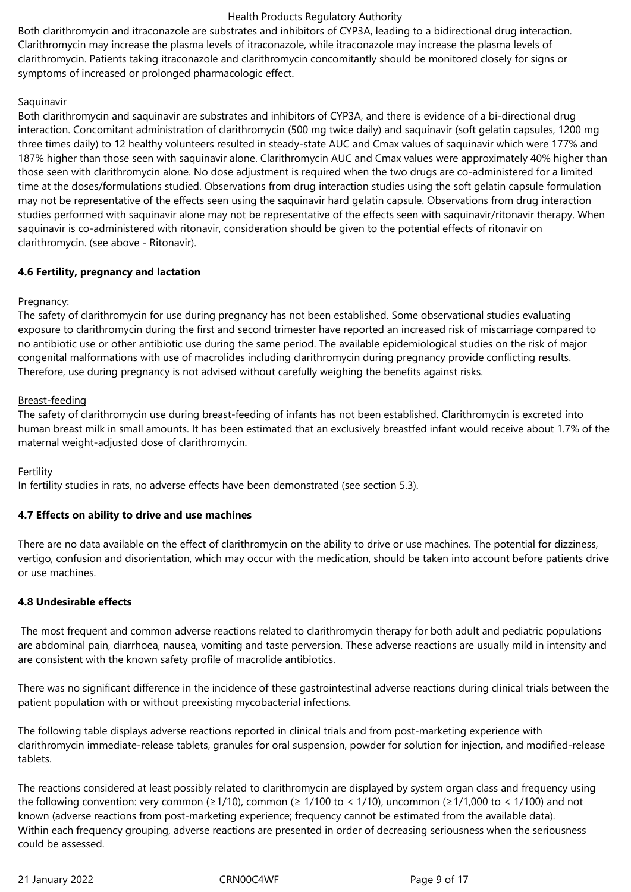Both clarithromycin and itraconazole are substrates and inhibitors of CYP3A, leading to a bidirectional drug interaction. Clarithromycin may increase the plasma levels of itraconazole, while itraconazole may increase the plasma levels of clarithromycin. Patients taking itraconazole and clarithromycin concomitantly should be monitored closely for signs or symptoms of increased or prolonged pharmacologic effect.

### Saquinavir

Both clarithromycin and saquinavir are substrates and inhibitors of CYP3A, and there is evidence of a bi-directional drug interaction. Concomitant administration of clarithromycin (500 mg twice daily) and saquinavir (soft gelatin capsules, 1200 mg three times daily) to 12 healthy volunteers resulted in steady-state AUC and Cmax values of saquinavir which were 177% and 187% higher than those seen with saquinavir alone. Clarithromycin AUC and Cmax values were approximately 40% higher than those seen with clarithromycin alone. No dose adjustment is required when the two drugs are co-administered for a limited time at the doses/formulations studied. Observations from drug interaction studies using the soft gelatin capsule formulation may not be representative of the effects seen using the saquinavir hard gelatin capsule. Observations from drug interaction studies performed with saquinavir alone may not be representative of the effects seen with saquinavir/ritonavir therapy. When saquinavir is co-administered with ritonavir, consideration should be given to the potential effects of ritonavir on clarithromycin. (see above - Ritonavir).

### **4.6 Fertility, pregnancy and lactation**

### Pregnancy:

The safety of clarithromycin for use during pregnancy has not been established. Some observational studies evaluating exposure to clarithromycin during the first and second trimester have reported an increased risk of miscarriage compared to no antibiotic use or other antibiotic use during the same period. The available epidemiological studies on the risk of major congenital malformations with use of macrolides including clarithromycin during pregnancy provide conflicting results. Therefore, use during pregnancy is not advised without carefully weighing the benefits against risks.

### Breast-feeding

The safety of clarithromycin use during breast-feeding of infants has not been established. Clarithromycin is excreted into human breast milk in small amounts. It has been estimated that an exclusively breastfed infant would receive about 1.7% of the maternal weight-adjusted dose of clarithromycin.

### Fertility

In fertility studies in rats, no adverse effects have been demonstrated (see section 5.3).

### **4.7 Effects on ability to drive and use machines**

There are no data available on the effect of clarithromycin on the ability to drive or use machines. The potential for dizziness, vertigo, confusion and disorientation, which may occur with the medication, should be taken into account before patients drive or use machines.

### **4.8 Undesirable effects**

The most frequent and common adverse reactions related to clarithromycin therapy for both adult and pediatric populations are abdominal pain, diarrhoea, nausea, vomiting and taste perversion. These adverse reactions are usually mild in intensity and are consistent with the known safety profile of macrolide antibiotics.

There was no significant difference in the incidence of these gastrointestinal adverse reactions during clinical trials between the patient population with or without preexisting mycobacterial infections.

The following table displays adverse reactions reported in clinical trials and from post-marketing experience with clarithromycin immediate-release tablets, granules for oral suspension, powder for solution for injection, and modified-release tablets.

The reactions considered at least possibly related to clarithromycin are displayed by system organ class and frequency using the following convention: very common ( $\geq 1/10$ ), common ( $\geq 1/100$  to < 1/10), uncommon ( $\geq 1/1,000$  to < 1/100) and not known (adverse reactions from post-marketing experience; frequency cannot be estimated from the available data). Within each frequency grouping, adverse reactions are presented in order of decreasing seriousness when the seriousness could be assessed.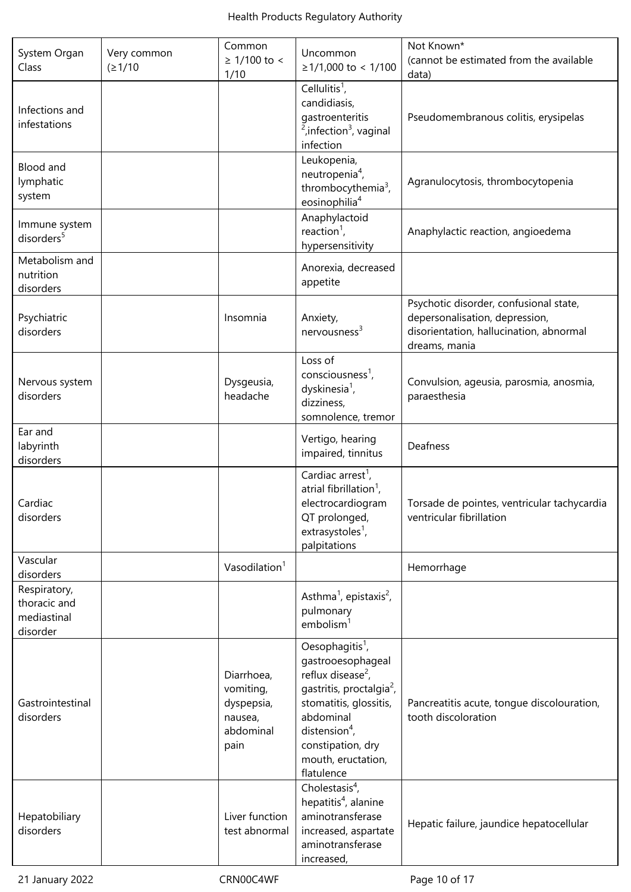| System Organ<br>Class                                   | Very common<br>(21/10) | Common<br>$≥ 1/100$ to <<br>1/10                                      | Uncommon<br>≥1/1,000 to < 1/100                                                                                                                                                                                                                        | Not Known*<br>(cannot be estimated from the available<br>data)                                                                       |  |
|---------------------------------------------------------|------------------------|-----------------------------------------------------------------------|--------------------------------------------------------------------------------------------------------------------------------------------------------------------------------------------------------------------------------------------------------|--------------------------------------------------------------------------------------------------------------------------------------|--|
| Infections and<br>infestations                          |                        |                                                                       | Cellulitis $1$ ,<br>candidiasis,<br>gastroenteritis<br><sup>2</sup> , infection <sup>3</sup> , vaginal<br>infection                                                                                                                                    | Pseudomembranous colitis, erysipelas                                                                                                 |  |
| Blood and<br>lymphatic<br>system                        |                        |                                                                       | Leukopenia,<br>neutropenia <sup>4</sup> ,<br>thrombocythemia <sup>3</sup> ,<br>eosinophilia <sup>4</sup>                                                                                                                                               | Agranulocytosis, thrombocytopenia                                                                                                    |  |
| Immune system<br>disorders <sup>5</sup>                 |                        |                                                                       | Anaphylactoid<br>reaction <sup>1</sup> ,<br>hypersensitivity                                                                                                                                                                                           | Anaphylactic reaction, angioedema                                                                                                    |  |
| Metabolism and<br>nutrition<br>disorders                |                        |                                                                       | Anorexia, decreased<br>appetite                                                                                                                                                                                                                        |                                                                                                                                      |  |
| Psychiatric<br>disorders                                |                        | Insomnia                                                              | Anxiety,<br>$n$ ervousness <sup>3</sup>                                                                                                                                                                                                                | Psychotic disorder, confusional state,<br>depersonalisation, depression,<br>disorientation, hallucination, abnormal<br>dreams, mania |  |
| Nervous system<br>disorders                             |                        | Dysgeusia,<br>headache                                                | Loss of<br>consciousness $^1$ ,<br>dyskinesia <sup>1</sup> ,<br>dizziness,<br>somnolence, tremor                                                                                                                                                       | Convulsion, ageusia, parosmia, anosmia,<br>paraesthesia                                                                              |  |
| Ear and<br>labyrinth<br>disorders                       |                        |                                                                       | Vertigo, hearing<br>impaired, tinnitus                                                                                                                                                                                                                 | Deafness                                                                                                                             |  |
| Cardiac<br>disorders                                    |                        |                                                                       | Cardiac arrest <sup>1</sup> ,<br>atrial fibrillation <sup>1</sup> ,<br>electrocardiogram<br>QT prolonged,<br>extrasystoles <sup>1</sup> ,<br>palpitations                                                                                              | Torsade de pointes, ventricular tachycardia<br>ventricular fibrillation                                                              |  |
| Vascular<br>disorders                                   |                        | Vasodilation $1$                                                      |                                                                                                                                                                                                                                                        | Hemorrhage                                                                                                                           |  |
| Respiratory,<br>thoracic and<br>mediastinal<br>disorder |                        |                                                                       | Asthma <sup>1</sup> , epistaxis <sup>2</sup> ,<br>pulmonary<br>embolism <sup>1</sup>                                                                                                                                                                   |                                                                                                                                      |  |
| Gastrointestinal<br>disorders                           |                        | Diarrhoea,<br>vomiting,<br>dyspepsia,<br>nausea,<br>abdominal<br>pain | Oesophagitis <sup>1</sup> ,<br>gastrooesophageal<br>reflux disease <sup>2</sup> ,<br>gastritis, proctalgia <sup>2</sup> ,<br>stomatitis, glossitis,<br>abdominal<br>distension <sup>4</sup> ,<br>constipation, dry<br>mouth, eructation,<br>flatulence | Pancreatitis acute, tongue discolouration,<br>tooth discoloration                                                                    |  |
| Hepatobiliary<br>disorders                              |                        | Liver function<br>test abnormal                                       | Cholestasis $4$ ,<br>hepatitis <sup>4</sup> , alanine<br>aminotransferase<br>increased, aspartate<br>aminotransferase<br>increased,                                                                                                                    | Hepatic failure, jaundice hepatocellular                                                                                             |  |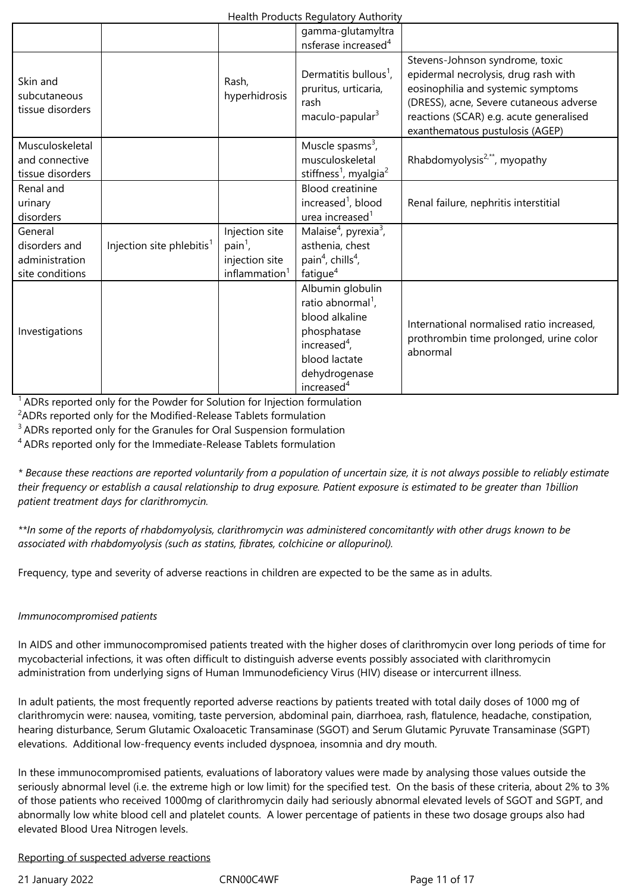|                                                               |                                       |                                                                                    | gamma-glutamyltra<br>nsferase increased <sup>4</sup>                                                                                                              |                                                                                                                                                                                                                                        |
|---------------------------------------------------------------|---------------------------------------|------------------------------------------------------------------------------------|-------------------------------------------------------------------------------------------------------------------------------------------------------------------|----------------------------------------------------------------------------------------------------------------------------------------------------------------------------------------------------------------------------------------|
| Skin and<br>subcutaneous<br>tissue disorders                  |                                       | Rash,<br>hyperhidrosis                                                             | Dermatitis bullous <sup>1</sup> ,<br>pruritus, urticaria,<br>rash<br>maculo-papular <sup>3</sup>                                                                  | Stevens-Johnson syndrome, toxic<br>epidermal necrolysis, drug rash with<br>eosinophilia and systemic symptoms<br>(DRESS), acne, Severe cutaneous adverse<br>reactions (SCAR) e.g. acute generalised<br>exanthematous pustulosis (AGEP) |
| Musculoskeletal<br>and connective<br>tissue disorders         |                                       |                                                                                    | Muscle spasms $3$ ,<br>musculoskeletal<br>stiffness <sup>1</sup> , myalgia <sup>2</sup>                                                                           | Rhabdomyolysis <sup>2,**</sup> , myopathy                                                                                                                                                                                              |
| Renal and<br>urinary<br>disorders                             |                                       |                                                                                    | <b>Blood creatinine</b><br>increased <sup>1</sup> , blood<br>urea increased <sup>1</sup>                                                                          | Renal failure, nephritis interstitial                                                                                                                                                                                                  |
| General<br>disorders and<br>administration<br>site conditions | Injection site phlebitis <sup>1</sup> | Injection site<br>$\text{pain}^1$ ,<br>injection site<br>inflammation <sup>1</sup> | Malaise <sup>4</sup> , pyrexia <sup>3</sup> ,<br>asthenia, chest<br>pain <sup>4</sup> , chills <sup>4</sup> ,<br>fatigue <sup>4</sup>                             |                                                                                                                                                                                                                                        |
| Investigations                                                |                                       |                                                                                    | Albumin globulin<br>ratio abnormal <sup>1</sup> ,<br>blood alkaline<br>phosphatase<br>increased $4$ ,<br>blood lactate<br>dehydrogenase<br>increased <sup>4</sup> | International normalised ratio increased,<br>prothrombin time prolonged, urine color<br>abnormal                                                                                                                                       |

 $1$  ADRs reported only for the Powder for Solution for Injection formulation

<sup>2</sup>ADRs reported only for the Modified-Release Tablets formulation

 $3$  ADRs reported only for the Granules for Oral Suspension formulation

<sup>4</sup>ADRs reported only for the Immediate-Release Tablets formulation

*\* Because these reactions are reported voluntarily from a population of uncertain size, it is not always possible to reliably estimate their frequency or establish a causal relationship to drug exposure. Patient exposure is estimated to be greater than 1billion patient treatment days for clarithromycin.*

*\*\*In some of the reports of rhabdomyolysis, clarithromycin was administered concomitantly with other drugs known to be associated with rhabdomyolysis (such as statins, fibrates, colchicine or allopurinol).*

Frequency, type and severity of adverse reactions in children are expected to be the same as in adults.

#### *Immunocompromised patients*

In AIDS and other immunocompromised patients treated with the higher doses of clarithromycin over long periods of time for mycobacterial infections, it was often difficult to distinguish adverse events possibly associated with clarithromycin administration from underlying signs of Human Immunodeficiency Virus (HIV) disease or intercurrent illness.

In adult patients, the most frequently reported adverse reactions by patients treated with total daily doses of 1000 mg of clarithromycin were: nausea, vomiting, taste perversion, abdominal pain, diarrhoea, rash, flatulence, headache, constipation, hearing disturbance, Serum Glutamic Oxaloacetic Transaminase (SGOT) and Serum Glutamic Pyruvate Transaminase (SGPT) elevations. Additional low-frequency events included dyspnoea, insomnia and dry mouth.

In these immunocompromised patients, evaluations of laboratory values were made by analysing those values outside the seriously abnormal level (i.e. the extreme high or low limit) for the specified test. On the basis of these criteria, about 2% to 3% of those patients who received 1000mg of clarithromycin daily had seriously abnormal elevated levels of SGOT and SGPT, and abnormally low white blood cell and platelet counts. A lower percentage of patients in these two dosage groups also had elevated Blood Urea Nitrogen levels.

#### Reporting of suspected adverse reactions

21 January 2022 CRN00C4WF CRNOOC4WF Page 11 of 17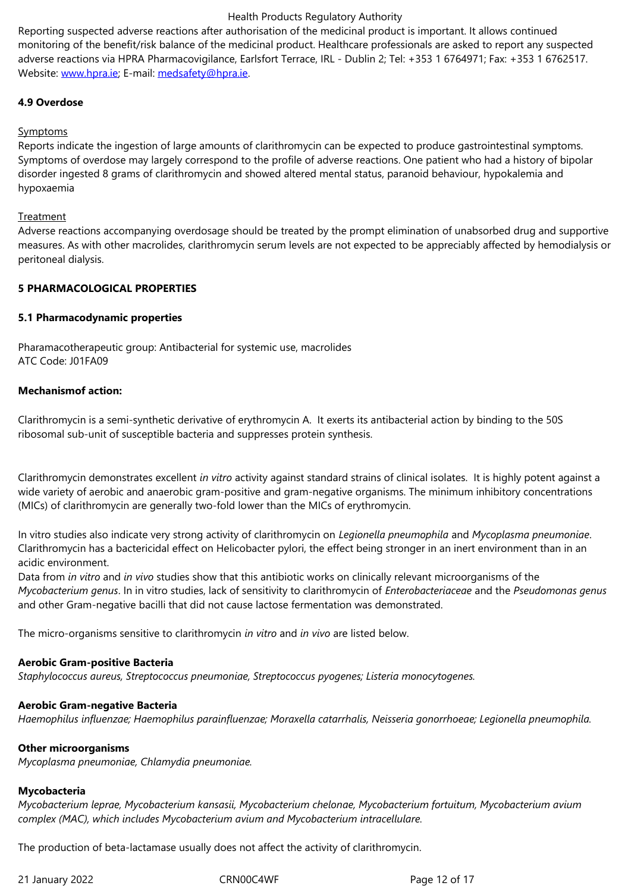adverse reactions via HPRA Pharmacovigilance, Earlsfort Terrace, IRL - Dublin 2; Tel: +353 1 6764971; Fax: +353 1 6762517. Website: www.hpra.ie; E-mail: medsafety@hpra.ie.

### **4.9 Overdose**

#### **Sympto[ms](http://www.hpra.ie/)**

Reports indicate the ingestion of large amounts of clarithromycin can be expected to produce gastrointestinal symptoms. Symptoms of overdose may largely correspond to the profile of adverse reactions. One patient who had a history of bipolar disorder ingested 8 grams of clarithromycin and showed altered mental status, paranoid behaviour, hypokalemia and hypoxaemia

#### **Treatment**

Adverse reactions accompanying overdosage should be treated by the prompt elimination of unabsorbed drug and supportive measures. As with other macrolides, clarithromycin serum levels are not expected to be appreciably affected by hemodialysis or peritoneal dialysis.

### **5 PHARMACOLOGICAL PROPERTIES**

#### **5.1 Pharmacodynamic properties**

Pharamacotherapeutic group: Antibacterial for systemic use, macrolides ATC Code: J01FA09

#### **Mechanismof action:**

Clarithromycin is a semi-synthetic derivative of erythromycin A. It exerts its antibacterial action by binding to the 50S ribosomal sub-unit of susceptible bacteria and suppresses protein synthesis.

Clarithromycin demonstrates excellent *in vitro* activity against standard strains of clinical isolates. It is highly potent against a wide variety of aerobic and anaerobic gram-positive and gram-negative organisms. The minimum inhibitory concentrations (MICs) of clarithromycin are generally two-fold lower than the MICs of erythromycin.

In vitro studies also indicate very strong activity of clarithromycin on *Legionella pneumophila* and *Mycoplasma pneumoniae*. Clarithromycin has a bactericidal effect on Helicobacter pylori, the effect being stronger in an inert environment than in an acidic environment.

Data from *in vitro* and *in vivo* studies show that this antibiotic works on clinically relevant microorganisms of the *Mycobacterium genus*. In in vitro studies, lack of sensitivity to clarithromycin of *Enterobacteriaceae* and the *Pseudomonas genus* and other Gram-negative bacilli that did not cause lactose fermentation was demonstrated.

The micro-organisms sensitive to clarithromycin *in vitro* and *in vivo* are listed below.

#### **Aerobic Gram-positive Bacteria**

*Staphylococcus aureus, Streptococcus pneumoniae, Streptococcus pyogenes; Listeria monocytogenes.*

#### **Aerobic Gram-negative Bacteria**

*Haemophilus influenzae; Haemophilus parainfluenzae; Moraxella catarrhalis, Neisseria gonorrhoeae; Legionella pneumophila.*

#### **Other microorganisms**

*Mycoplasma pneumoniae, Chlamydia pneumoniae.*

#### **Mycobacteria**

*Mycobacterium leprae, Mycobacterium kansasii, Mycobacterium chelonae, Mycobacterium fortuitum, Mycobacterium avium complex (MAC), which includes Mycobacterium avium and Mycobacterium intracellulare.*

The production of beta-lactamase usually does not affect the activity of clarithromycin.

21 January 2022 **CRNOOC4WF** Page 12 of 17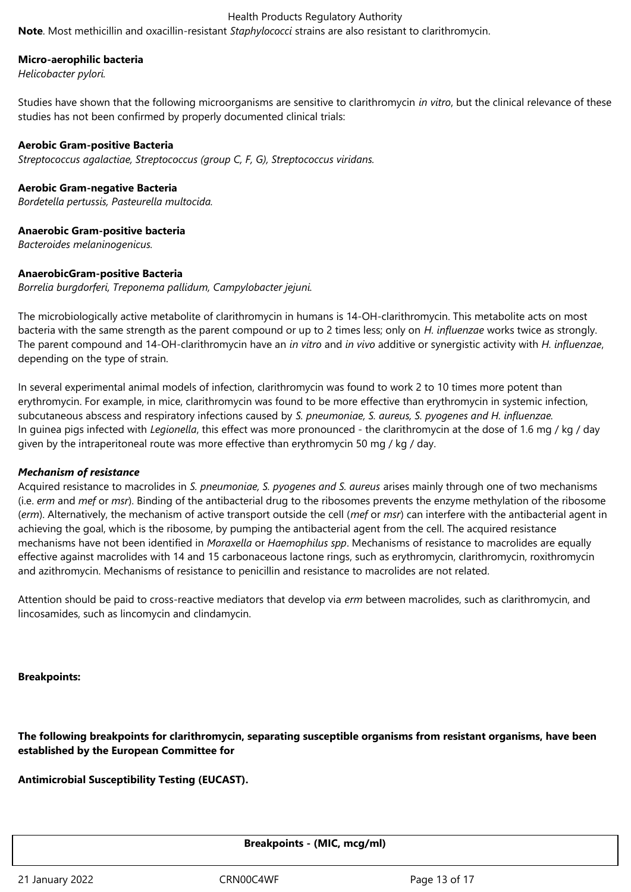**Note**. Most methicillin and oxacillin-resistant *Staphylococci* strains are also resistant to clarithromycin.

#### **Micro-aerophilic bacteria**

*Helicobacter pylori.*

Studies have shown that the following microorganisms are sensitive to clarithromycin *in vitro*, but the clinical relevance of these studies has not been confirmed by properly documented clinical trials:

#### **Aerobic Gram-positive Bacteria**

*Streptococcus agalactiae, Streptococcus (group C, F, G), Streptococcus viridans.*

#### **Aerobic Gram-negative Bacteria**

*Bordetella pertussis, Pasteurella multocida.*

#### **Anaerobic Gram-positive bacteria**

*Bacteroides melaninogenicus.*

#### **AnaerobicGram-positive Bacteria**

*Borrelia burgdorferi, Treponema pallidum, Campylobacter jejuni.*

The microbiologically active metabolite of clarithromycin in humans is 14-OH-clarithromycin. This metabolite acts on most bacteria with the same strength as the parent compound or up to 2 times less; only on *H. influenzae* works twice as strongly. The parent compound and 14-OH-clarithromycin have an *in vitro* and *in vivo* additive or synergistic activity with *H. influenzae*, depending on the type of strain.

In several experimental animal models of infection, clarithromycin was found to work 2 to 10 times more potent than erythromycin. For example, in mice, clarithromycin was found to be more effective than erythromycin in systemic infection, subcutaneous abscess and respiratory infections caused by *S. pneumoniae, S. aureus, S. pyogenes and H. influenzae.* In guinea pigs infected with *Legionella*, this effect was more pronounced - the clarithromycin at the dose of 1.6 mg / kg / day given by the intraperitoneal route was more effective than erythromycin 50 mg / kg / day.

#### *Mechanism of resistance*

Acquired resistance to macrolides in *S. pneumoniae, S. pyogenes and S. aureus* arises mainly through one of two mechanisms (i.e. *erm* and *mef* or *msr*). Binding of the antibacterial drug to the ribosomes prevents the enzyme methylation of the ribosome (*erm*). Alternatively, the mechanism of active transport outside the cell (*mef* or *msr*) can interfere with the antibacterial agent in achieving the goal, which is the ribosome, by pumping the antibacterial agent from the cell. The acquired resistance mechanisms have not been identified in *Moraxella* or *Haemophilus spp*. Mechanisms of resistance to macrolides are equally effective against macrolides with 14 and 15 carbonaceous lactone rings, such as erythromycin, clarithromycin, roxithromycin and azithromycin. Mechanisms of resistance to penicillin and resistance to macrolides are not related.

Attention should be paid to cross-reactive mediators that develop via *erm* between macrolides, such as clarithromycin, and lincosamides, such as lincomycin and clindamycin.

**Breakpoints:**

**The following breakpoints for clarithromycin, separating susceptible organisms from resistant organisms, have been established by the European Committee for**

**Antimicrobial Susceptibility Testing (EUCAST).**

**Breakpoints - (MIC, mcg/ml)**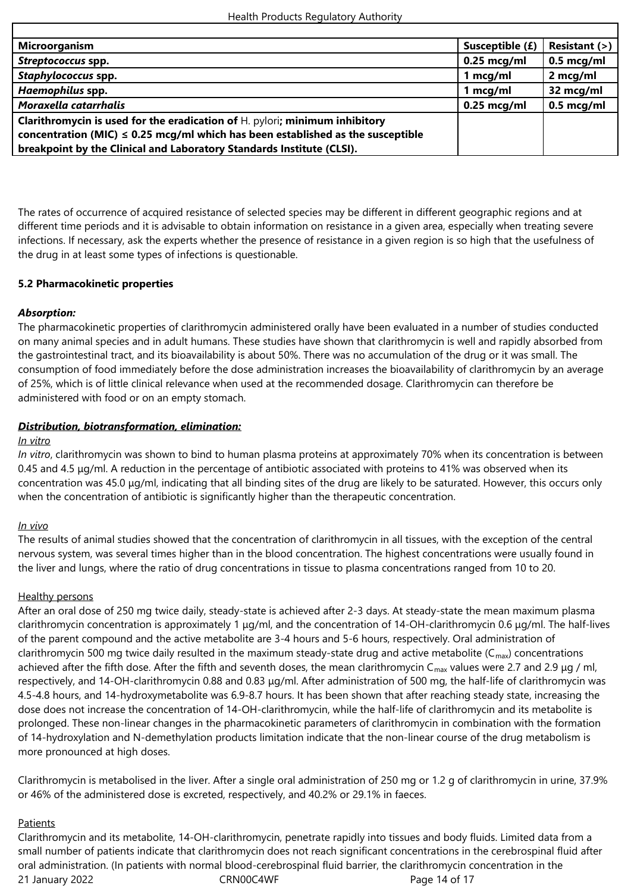| <b>Microorganism</b>                                                                 | Susceptible (£) | Resistant (>) |
|--------------------------------------------------------------------------------------|-----------------|---------------|
| Streptococcus spp.                                                                   | $0.25$ mcg/ml   | $0.5$ mcg/ml  |
| Staphylococcus spp.                                                                  | 1 mcg/ml        | 2 mcg/ml      |
| Haemophilus spp.                                                                     | 1 mcg/ml        | 32 mcg/ml     |
| Moraxella catarrhalis                                                                | $0.25$ mcg/ml   | $0.5$ mcg/ml  |
| <b>Clarithromycin is used for the eradication of H. pylori; minimum inhibitory</b>   |                 |               |
| concentration (MIC) $\leq$ 0.25 mcg/ml which has been established as the susceptible |                 |               |
| breakpoint by the Clinical and Laboratory Standards Institute (CLSI).                |                 |               |

The rates of occurrence of acquired resistance of selected species may be different in different geographic regions and at different time periods and it is advisable to obtain information on resistance in a given area, especially when treating severe infections. If necessary, ask the experts whether the presence of resistance in a given region is so high that the usefulness of the drug in at least some types of infections is questionable.

### **5.2 Pharmacokinetic properties**

### *Absorption:*

The pharmacokinetic properties of clarithromycin administered orally have been evaluated in a number of studies conducted on many animal species and in adult humans. These studies have shown that clarithromycin is well and rapidly absorbed from the gastrointestinal tract, and its bioavailability is about 50%. There was no accumulation of the drug or it was small. The consumption of food immediately before the dose administration increases the bioavailability of clarithromycin by an average of 25%, which is of little clinical relevance when used at the recommended dosage. Clarithromycin can therefore be administered with food or on an empty stomach.

### *Distribution, biotransformation, elimination:*

#### *In vitro*

*In vitro*, clarithromycin was shown to bind to human plasma proteins at approximately 70% when its concentration is between 0.45 and 4.5 μg/ml. A reduction in the percentage of antibiotic associated with proteins to 41% was observed when its concentration was 45.0 μg/ml, indicating that all binding sites of the drug are likely to be saturated. However, this occurs only when the concentration of antibiotic is significantly higher than the therapeutic concentration.

#### *In vivo*

The results of animal studies showed that the concentration of clarithromycin in all tissues, with the exception of the central nervous system, was several times higher than in the blood concentration. The highest concentrations were usually found in the liver and lungs, where the ratio of drug concentrations in tissue to plasma concentrations ranged from 10 to 20.

#### Healthy persons

After an oral dose of 250 mg twice daily, steady-state is achieved after 2-3 days. At steady-state the mean maximum plasma clarithromycin concentration is approximately 1 μg/ml, and the concentration of 14-OH-clarithromycin 0.6 μg/ml. The half-lives of the parent compound and the active metabolite are 3-4 hours and 5-6 hours, respectively. Oral administration of clarithromycin 500 mg twice daily resulted in the maximum steady-state drug and active metabolite ( $C_{max}$ ) concentrations achieved after the fifth dose. After the fifth and seventh doses, the mean clarithromycin C<sub>max</sub> values were 2.7 and 2.9 µg / ml, respectively, and 14-OH-clarithromycin 0.88 and 0.83 μg/ml. After administration of 500 mg, the half-life of clarithromycin was 4.5-4.8 hours, and 14-hydroxymetabolite was 6.9-8.7 hours. It has been shown that after reaching steady state, increasing the dose does not increase the concentration of 14-OH-clarithromycin, while the half-life of clarithromycin and its metabolite is prolonged. These non-linear changes in the pharmacokinetic parameters of clarithromycin in combination with the formation of 14-hydroxylation and N-demethylation products limitation indicate that the non-linear course of the drug metabolism is more pronounced at high doses.

Clarithromycin is metabolised in the liver. After a single oral administration of 250 mg or 1.2 g of clarithromycin in urine, 37.9% or 46% of the administered dose is excreted, respectively, and 40.2% or 29.1% in faeces.

### Patients

21 January 2022 **CRNOOC4WF** Page 14 of 17 Clarithromycin and its metabolite, 14-OH-clarithromycin, penetrate rapidly into tissues and body fluids. Limited data from a small number of patients indicate that clarithromycin does not reach significant concentrations in the cerebrospinal fluid after oral administration. (In patients with normal blood-cerebrospinal fluid barrier, the clarithromycin concentration in the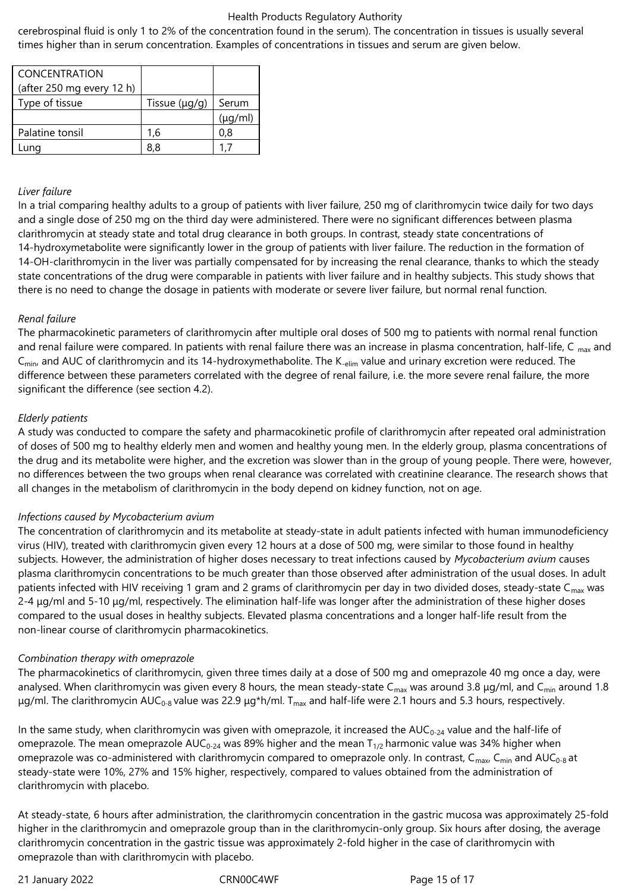cerebrospinal fluid is only 1 to 2% of the concentration found in the serum). The concentration in tissues is usually several times higher than in serum concentration. Examples of concentrations in tissues and serum are given below.

| <b>CONCENTRATION</b><br>(after 250 mg every 12 h) |                    |              |
|---------------------------------------------------|--------------------|--------------|
| Type of tissue                                    | Tissue $(\mu g/g)$ | Serum        |
|                                                   |                    | $(\mu q/ml)$ |
| Palatine tonsil                                   | 1.6                | 0.8          |
| .una                                              | 88                 |              |

#### *Liver failure*

In a trial comparing healthy adults to a group of patients with liver failure, 250 mg of clarithromycin twice daily for two days and a single dose of 250 mg on the third day were administered. There were no significant differences between plasma clarithromycin at steady state and total drug clearance in both groups. In contrast, steady state concentrations of 14-hydroxymetabolite were significantly lower in the group of patients with liver failure. The reduction in the formation of 14-OH-clarithromycin in the liver was partially compensated for by increasing the renal clearance, thanks to which the steady state concentrations of the drug were comparable in patients with liver failure and in healthy subjects. This study shows that there is no need to change the dosage in patients with moderate or severe liver failure, but normal renal function.

### *Renal failure*

The pharmacokinetic parameters of clarithromycin after multiple oral doses of 500 mg to patients with normal renal function and renal failure were compared. In patients with renal failure there was an increase in plasma concentration, half-life, C  $_{\text{max}}$  and C<sub>min</sub>, and AUC of clarithromycin and its 14-hydroxymethabolite. The K<sub>-elim</sub> value and urinary excretion were reduced. The difference between these parameters correlated with the degree of renal failure, i.e. the more severe renal failure, the more significant the difference (see section 4.2).

### *Elderly patients*

A study was conducted to compare the safety and pharmacokinetic profile of clarithromycin after repeated oral administration of doses of 500 mg to healthy elderly men and women and healthy young men. In the elderly group, plasma concentrations of the drug and its metabolite were higher, and the excretion was slower than in the group of young people. There were, however, no differences between the two groups when renal clearance was correlated with creatinine clearance. The research shows that all changes in the metabolism of clarithromycin in the body depend on kidney function, not on age.

#### *Infections caused by Mycobacterium avium*

The concentration of clarithromycin and its metabolite at steady-state in adult patients infected with human immunodeficiency virus (HIV), treated with clarithromycin given every 12 hours at a dose of 500 mg, were similar to those found in healthy subjects. However, the administration of higher doses necessary to treat infections caused by *Mycobacterium avium* causes plasma clarithromycin concentrations to be much greater than those observed after administration of the usual doses. In adult patients infected with HIV receiving 1 gram and 2 grams of clarithromycin per day in two divided doses, steady-state  $C_{\text{max}}$  was 2-4 μg/ml and 5-10 μg/ml, respectively. The elimination half-life was longer after the administration of these higher doses compared to the usual doses in healthy subjects. Elevated plasma concentrations and a longer half-life result from the non-linear course of clarithromycin pharmacokinetics.

#### *Combination therapy with omeprazole*

The pharmacokinetics of clarithromycin, given three times daily at a dose of 500 mg and omeprazole 40 mg once a day, were analysed. When clarithromycin was given every 8 hours, the mean steady-state C<sub>max</sub> was around 3.8  $\mu$ g/ml, and C<sub>min</sub> around 1.8 μg/ml. The clarithromycin AUC<sub>0-8</sub> value was 22.9 μg\*h/ml. T<sub>max</sub> and half-life were 2.1 hours and 5.3 hours, respectively.

In the same study, when clarithromycin was given with omeprazole, it increased the  $AUC_{0-24}$  value and the half-life of omeprazole. The mean omeprazole  $AUC_{0-24}$  was 89% higher and the mean  $T_{1/2}$  harmonic value was 34% higher when omeprazole was co-administered with clarithromycin compared to omeprazole only. In contrast, C<sub>max</sub>, C<sub>min</sub> and AUC<sub>0-8</sub> at steady-state were 10%, 27% and 15% higher, respectively, compared to values obtained from the administration of clarithromycin with placebo.

At steady-state, 6 hours after administration, the clarithromycin concentration in the gastric mucosa was approximately 25-fold higher in the clarithromycin and omeprazole group than in the clarithromycin-only group. Six hours after dosing, the average clarithromycin concentration in the gastric tissue was approximately 2-fold higher in the case of clarithromycin with omeprazole than with clarithromycin with placebo.

21 January 2022 **CRN00C4WF** Page 15 of 17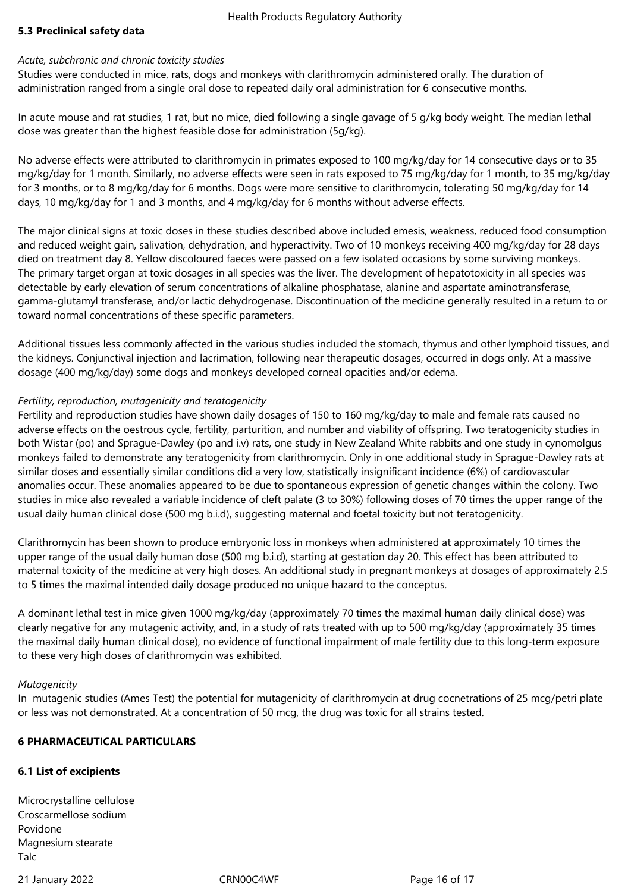### **5.3 Preclinical safety data**

#### *Acute, subchronic and chronic toxicity studies*

Studies were conducted in mice, rats, dogs and monkeys with clarithromycin administered orally. The duration of administration ranged from a single oral dose to repeated daily oral administration for 6 consecutive months.

In acute mouse and rat studies, 1 rat, but no mice, died following a single gavage of 5 g/kg body weight. The median lethal dose was greater than the highest feasible dose for administration (5g/kg).

No adverse effects were attributed to clarithromycin in primates exposed to 100 mg/kg/day for 14 consecutive days or to 35 mg/kg/day for 1 month. Similarly, no adverse effects were seen in rats exposed to 75 mg/kg/day for 1 month, to 35 mg/kg/day for 3 months, or to 8 mg/kg/day for 6 months. Dogs were more sensitive to clarithromycin, tolerating 50 mg/kg/day for 14 days, 10 mg/kg/day for 1 and 3 months, and 4 mg/kg/day for 6 months without adverse effects.

The major clinical signs at toxic doses in these studies described above included emesis, weakness, reduced food consumption and reduced weight gain, salivation, dehydration, and hyperactivity. Two of 10 monkeys receiving 400 mg/kg/day for 28 days died on treatment day 8. Yellow discoloured faeces were passed on a few isolated occasions by some surviving monkeys. The primary target organ at toxic dosages in all species was the liver. The development of hepatotoxicity in all species was detectable by early elevation of serum concentrations of alkaline phosphatase, alanine and aspartate aminotransferase, gamma-glutamyl transferase, and/or lactic dehydrogenase. Discontinuation of the medicine generally resulted in a return to or toward normal concentrations of these specific parameters.

Additional tissues less commonly affected in the various studies included the stomach, thymus and other lymphoid tissues, and the kidneys. Conjunctival injection and lacrimation, following near therapeutic dosages, occurred in dogs only. At a massive dosage (400 mg/kg/day) some dogs and monkeys developed corneal opacities and/or edema.

### *Fertility, reproduction, mutagenicity and teratogenicity*

Fertility and reproduction studies have shown daily dosages of 150 to 160 mg/kg/day to male and female rats caused no adverse effects on the oestrous cycle, fertility, parturition, and number and viability of offspring. Two teratogenicity studies in both Wistar (po) and Sprague-Dawley (po and i.v) rats, one study in New Zealand White rabbits and one study in cynomolgus monkeys failed to demonstrate any teratogenicity from clarithromycin. Only in one additional study in Sprague-Dawley rats at similar doses and essentially similar conditions did a very low, statistically insignificant incidence (6%) of cardiovascular anomalies occur. These anomalies appeared to be due to spontaneous expression of genetic changes within the colony. Two studies in mice also revealed a variable incidence of cleft palate (3 to 30%) following doses of 70 times the upper range of the usual daily human clinical dose (500 mg b.i.d), suggesting maternal and foetal toxicity but not teratogenicity.

Clarithromycin has been shown to produce embryonic loss in monkeys when administered at approximately 10 times the upper range of the usual daily human dose (500 mg b.i.d), starting at gestation day 20. This effect has been attributed to maternal toxicity of the medicine at very high doses. An additional study in pregnant monkeys at dosages of approximately 2.5 to 5 times the maximal intended daily dosage produced no unique hazard to the conceptus.

A dominant lethal test in mice given 1000 mg/kg/day (approximately 70 times the maximal human daily clinical dose) was clearly negative for any mutagenic activity, and, in a study of rats treated with up to 500 mg/kg/day (approximately 35 times the maximal daily human clinical dose), no evidence of functional impairment of male fertility due to this long-term exposure to these very high doses of clarithromycin was exhibited.

#### *Mutagenicity*

In mutagenic studies (Ames Test) the potential for mutagenicity of clarithromycin at drug cocnetrations of 25 mcg/petri plate or less was not demonstrated. At a concentration of 50 mcg, the drug was toxic for all strains tested.

### **6 PHARMACEUTICAL PARTICULARS**

### **6.1 List of excipients**

Microcrystalline cellulose Croscarmellose sodium Povidone Magnesium stearate Talc

21 January 2022 **CRN00C4WF** Page 16 of 17